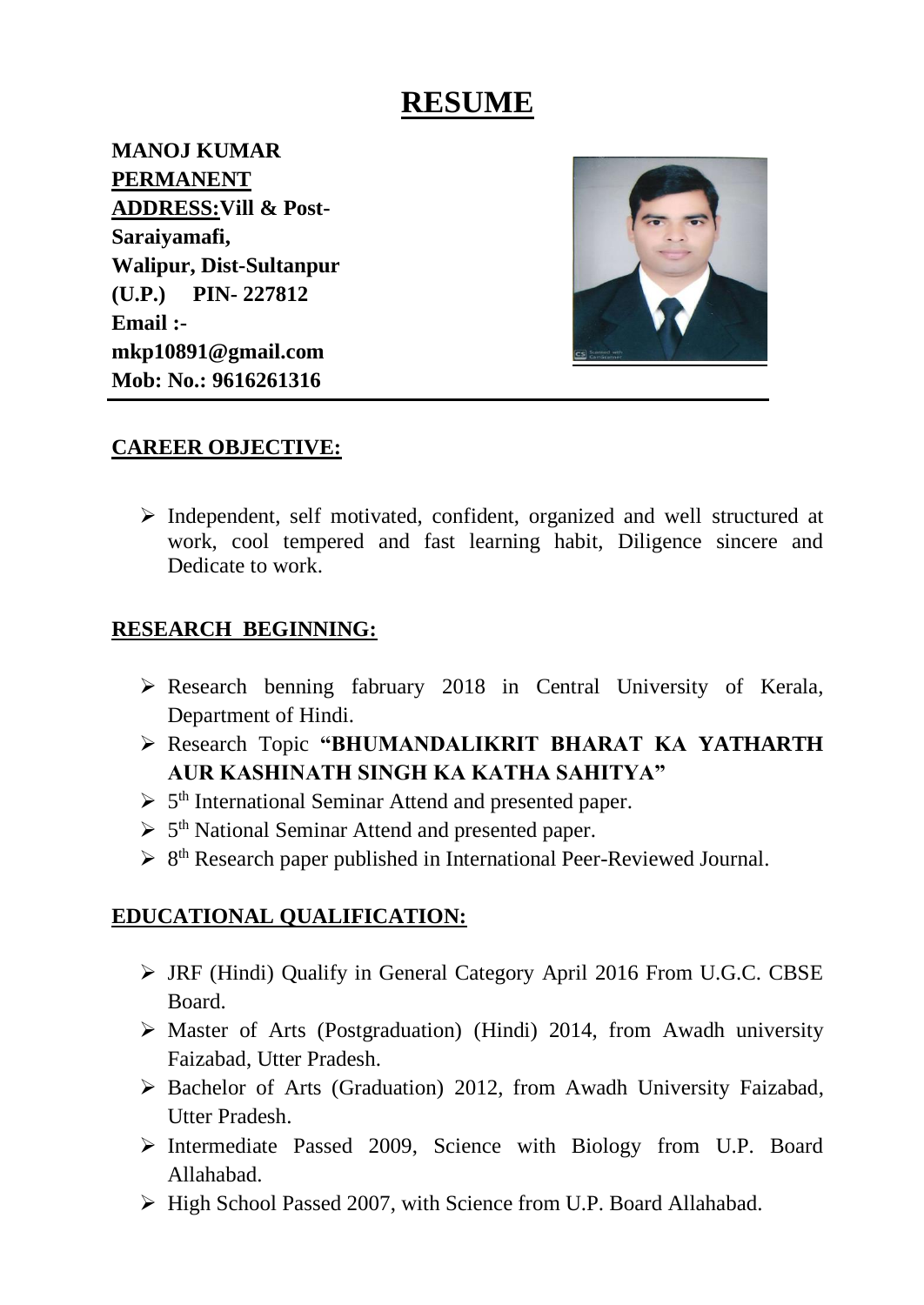# **RESUME**

**MANOJ KUMAR PERMANENT ADDRESS:Vill & Post-Saraiyamafi, Walipur, Dist-Sultanpur (U.P.) PIN- 227812 Email : mkp10891@gmail.com Mob: No.: 9616261316**



### **CAREER OBJECTIVE:**

➢ Independent, self motivated, confident, organized and well structured at work, cool tempered and fast learning habit, Diligence sincere and Dedicate to work.

#### **RESEARCH BEGINNING:**

- ➢ Research benning fabruary 2018 in Central University of Kerala, Department of Hindi.
- ➢ Research Topic **"BHUMANDALIKRIT BHARAT KA YATHARTH AUR KASHINATH SINGH KA KATHA SAHITYA"**
- ➢ 5 th International Seminar Attend and presented paper.
- ➢ 5 th National Seminar Attend and presented paper.
- ➢ 8 th Research paper published in International Peer-Reviewed Journal.

### **EDUCATIONAL QUALIFICATION:**

- ➢ JRF (Hindi) Qualify in General Category April 2016 From U.G.C. CBSE Board.
- ➢ Master of Arts (Postgraduation) (Hindi) 2014, from Awadh university Faizabad, Utter Pradesh.
- ➢ Bachelor of Arts (Graduation) 2012, from Awadh University Faizabad, Utter Pradesh.
- ➢ Intermediate Passed 2009, Science with Biology from U.P. Board Allahabad.
- ➢ High School Passed 2007, with Science from U.P. Board Allahabad.